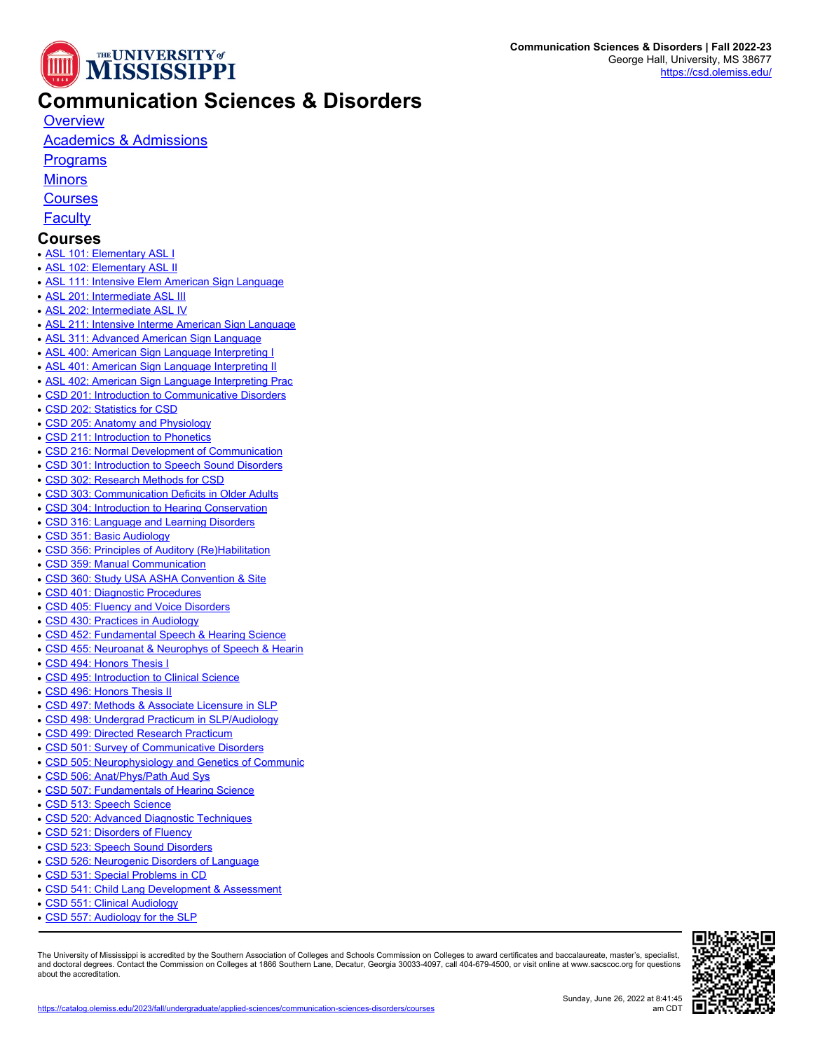

## **Communication Sciences & Disorders**

**[Overview](https://catalog.olemiss.edu/applied-sciences/communication-sciences-disorders)** 

## [Academics & Admissions](https://catalog.olemiss.edu/applied-sciences/communication-sciences-disorders/academics)

**[Programs](https://catalog.olemiss.edu/applied-sciences/communication-sciences-disorders/programs)** 

**[Minors](https://catalog.olemiss.edu/applied-sciences/communication-sciences-disorders/minors)** 

**[Courses](https://catalog.olemiss.edu/applied-sciences/communication-sciences-disorders/courses)** 

**[Faculty](https://catalog.olemiss.edu/applied-sciences/communication-sciences-disorders/faculty)** 

## **Courses**

- **[ASL 101: Elementary ASL I](https://catalog.olemiss.edu/applied-sciences/communication-sciences-disorders/asl-101)**
- **[ASL 102: Elementary ASL II](https://catalog.olemiss.edu/applied-sciences/communication-sciences-disorders/asl-102)**
- [ASL 111: Intensive Elem American Sign Language](https://catalog.olemiss.edu/applied-sciences/communication-sciences-disorders/asl-111)
- [ASL 201: Intermediate ASL III](https://catalog.olemiss.edu/applied-sciences/communication-sciences-disorders/asl-201)
- [ASL 202: Intermediate ASL IV](https://catalog.olemiss.edu/applied-sciences/communication-sciences-disorders/asl-202)
- [ASL 211: Intensive Interme American Sign Language](https://catalog.olemiss.edu/applied-sciences/communication-sciences-disorders/asl-211)
- [ASL 311: Advanced American Sign Language](https://catalog.olemiss.edu/applied-sciences/communication-sciences-disorders/asl-311)
- [ASL 400: American Sign Language Interpreting I](https://catalog.olemiss.edu/applied-sciences/communication-sciences-disorders/asl-400)
- [ASL 401: American Sign Language Interpreting II](https://catalog.olemiss.edu/applied-sciences/communication-sciences-disorders/asl-401)
- [ASL 402: American Sign Language Interpreting Prac](https://catalog.olemiss.edu/applied-sciences/communication-sciences-disorders/asl-402)
- [CSD 201: Introduction to Communicative Disorders](https://catalog.olemiss.edu/applied-sciences/communication-sciences-disorders/csd-201)
- [CSD 202: Statistics for CSD](https://catalog.olemiss.edu/applied-sciences/communication-sciences-disorders/csd-202)
- [CSD 205: Anatomy and Physiology](https://catalog.olemiss.edu/applied-sciences/communication-sciences-disorders/csd-205)
- [CSD 211: Introduction to Phonetics](https://catalog.olemiss.edu/applied-sciences/communication-sciences-disorders/csd-211)
- [CSD 216: Normal Development of Communication](https://catalog.olemiss.edu/applied-sciences/communication-sciences-disorders/csd-216)
- [CSD 301: Introduction to Speech Sound Disorders](https://catalog.olemiss.edu/applied-sciences/communication-sciences-disorders/csd-301)
- [CSD 302: Research Methods for CSD](https://catalog.olemiss.edu/applied-sciences/communication-sciences-disorders/csd-302)
- [CSD 303: Communication Deficits in Older Adults](https://catalog.olemiss.edu/applied-sciences/communication-sciences-disorders/csd-303)
- [CSD 304: Introduction to Hearing Conservation](https://catalog.olemiss.edu/applied-sciences/communication-sciences-disorders/csd-304)
- [CSD 316: Language and Learning Disorders](https://catalog.olemiss.edu/applied-sciences/communication-sciences-disorders/csd-316)
- [CSD 351: Basic Audiology](https://catalog.olemiss.edu/applied-sciences/communication-sciences-disorders/csd-351)
- [CSD 356: Principles of Auditory \(Re\)Habilitation](https://catalog.olemiss.edu/applied-sciences/communication-sciences-disorders/csd-356)
- [CSD 359: Manual Communication](https://catalog.olemiss.edu/applied-sciences/communication-sciences-disorders/csd-359)
- [CSD 360: Study USA ASHA Convention & Site](https://catalog.olemiss.edu/applied-sciences/communication-sciences-disorders/csd-360)
- [CSD 401: Diagnostic Procedures](https://catalog.olemiss.edu/applied-sciences/communication-sciences-disorders/csd-401)
- [CSD 405: Fluency and Voice Disorders](https://catalog.olemiss.edu/applied-sciences/communication-sciences-disorders/csd-405)
- [CSD 430: Practices in Audiology](https://catalog.olemiss.edu/applied-sciences/communication-sciences-disorders/csd-430)
- [CSD 452: Fundamental Speech & Hearing Science](https://catalog.olemiss.edu/applied-sciences/communication-sciences-disorders/csd-452)
- [CSD 455: Neuroanat & Neurophys of Speech & Hearin](https://catalog.olemiss.edu/applied-sciences/communication-sciences-disorders/csd-455)
- [CSD 494: Honors Thesis I](https://catalog.olemiss.edu/applied-sciences/communication-sciences-disorders/csd-494)
- [CSD 495: Introduction to Clinical Science](https://catalog.olemiss.edu/applied-sciences/communication-sciences-disorders/csd-495)
- [CSD 496: Honors Thesis II](https://catalog.olemiss.edu/applied-sciences/communication-sciences-disorders/csd-496)
- [CSD 497: Methods & Associate Licensure in SLP](https://catalog.olemiss.edu/applied-sciences/communication-sciences-disorders/csd-497)
- [CSD 498: Undergrad Practicum in SLP/Audiology](https://catalog.olemiss.edu/applied-sciences/communication-sciences-disorders/csd-498)
- [CSD 499: Directed Research Practicum](https://catalog.olemiss.edu/applied-sciences/communication-sciences-disorders/csd-499)
- [CSD 501: Survey of Communicative Disorders](https://catalog.olemiss.edu/applied-sciences/communication-sciences-disorders/csd-501)
- [CSD 505: Neurophysiology and Genetics of Communic](https://catalog.olemiss.edu/applied-sciences/communication-sciences-disorders/csd-505)
- [CSD 506: Anat/Phys/Path Aud Sys](https://catalog.olemiss.edu/applied-sciences/communication-sciences-disorders/csd-506)
- [CSD 507: Fundamentals of Hearing Science](https://catalog.olemiss.edu/applied-sciences/communication-sciences-disorders/csd-507)
- [CSD 513: Speech Science](https://catalog.olemiss.edu/applied-sciences/communication-sciences-disorders/csd-513)
- [CSD 520: Advanced Diagnostic Techniques](https://catalog.olemiss.edu/applied-sciences/communication-sciences-disorders/csd-520)
- [CSD 521: Disorders of Fluency](https://catalog.olemiss.edu/applied-sciences/communication-sciences-disorders/csd-521)
- [CSD 523: Speech Sound Disorders](https://catalog.olemiss.edu/applied-sciences/communication-sciences-disorders/csd-523)
- [CSD 526: Neurogenic Disorders of Language](https://catalog.olemiss.edu/applied-sciences/communication-sciences-disorders/csd-526)
- [CSD 531: Special Problems in CD](https://catalog.olemiss.edu/applied-sciences/communication-sciences-disorders/csd-531)
- [CSD 541: Child Lang Development & Assessment](https://catalog.olemiss.edu/applied-sciences/communication-sciences-disorders/csd-541)
- [CSD 551: Clinical Audiology](https://catalog.olemiss.edu/applied-sciences/communication-sciences-disorders/csd-551)
- [CSD 557: Audiology for the SLP](https://catalog.olemiss.edu/applied-sciences/communication-sciences-disorders/csd-557)

The University of Mississippi is accredited by the Southern Association of Colleges and Schools Commission on Colleges to award certificates and baccalaureate, master's, specialist,<br>and doctoral degrees. Contact the Commis about the accreditation.